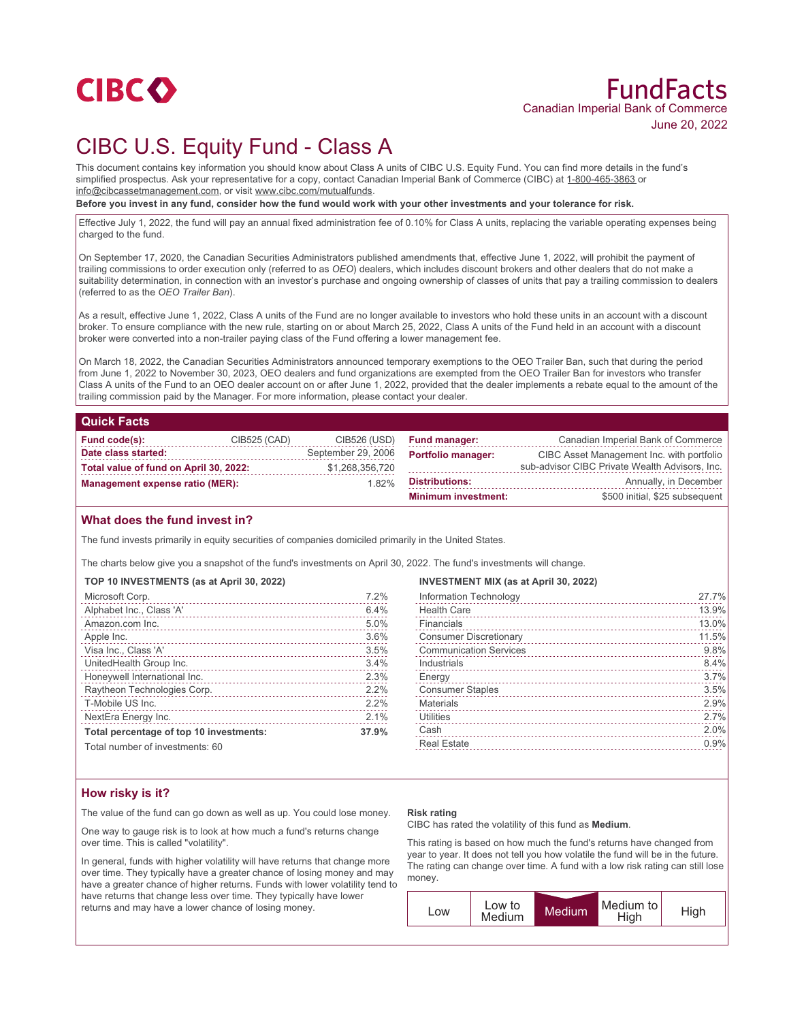

# CIBC U.S. Equity Fund - Class A

This document contains key information you should know about Class A units of CIBC U.S. Equity Fund. You can find more details in the fund's simplified prospectus. Ask your representative for a copy, contact Canadian Imperial Bank of Commerce (CIBC) at 1-800-465-3863 or info@cibcassetmanagement.com, or visit www.cibc.com/mutualfunds.

**Before you invest in any fund, consider how the fund would work with your other investments and your tolerance for risk.**

Effective July 1, 2022, the fund will pay an annual fixed administration fee of 0.10% for Class A units, replacing the variable operating expenses being charged to the fund.

On September 17, 2020, the Canadian Securities Administrators published amendments that, effective June 1, 2022, will prohibit the payment of trailing commissions to order execution only (referred to as *OEO*) dealers, which includes discount brokers and other dealers that do not make a suitability determination, in connection with an investor's purchase and ongoing ownership of classes of units that pay a trailing commission to dealers (referred to as the *OEO Trailer Ban*).

As a result, effective June 1, 2022, Class A units of the Fund are no longer available to investors who hold these units in an account with a discount broker. To ensure compliance with the new rule, starting on or about March 25, 2022, Class A units of the Fund held in an account with a discount broker were converted into a non-trailer paying class of the Fund offering a lower management fee.

On March 18, 2022, the Canadian Securities Administrators announced temporary exemptions to the OEO Trailer Ban, such that during the period from June 1, 2022 to November 30, 2023, OEO dealers and fund organizations are exempted from the OEO Trailer Ban for investors who transfer Class A units of the Fund to an OEO dealer account on or after June 1, 2022, provided that the dealer implements a rebate equal to the amount of the trailing commission paid by the Manager. For more information, please contact your dealer.

## **Quick Facts**

| Fund code(s):                          | CIB525 (CAD) | CIB526 (USD)       | <b>Fund manager:</b>       | Canadian Imperial Bank of Commerce             |
|----------------------------------------|--------------|--------------------|----------------------------|------------------------------------------------|
| Date class started:                    |              | September 29, 2006 | <b>Portfolio manager:</b>  | CIBC Asset Management Inc. with portfolio      |
| Total value of fund on April 30, 2022: |              | \$1,268,356,720    |                            | sub-advisor CIBC Private Wealth Advisors, Inc. |
| <b>Management expense ratio (MER):</b> |              | 1.82%              | <b>Distributions:</b>      | Annually, in December                          |
|                                        |              |                    | <b>Minimum investment:</b> | \$500 initial, \$25 subsequent                 |

#### **What does the fund invest in?**

The fund invests primarily in equity securities of companies domiciled primarily in the United States.

The charts below give you a snapshot of the fund's investments on April 30, 2022. The fund's investments will change.

|  |  |  | TOP 10 INVESTMENTS (as at April 30, 2022) |  |  |  |  |  |  |
|--|--|--|-------------------------------------------|--|--|--|--|--|--|
|--|--|--|-------------------------------------------|--|--|--|--|--|--|

| Microsoft Corp.                         | 7.2%  |
|-----------------------------------------|-------|
| Alphabet Inc., Class 'A'                | 6.4%  |
| Amazon.com Inc.                         | 5.0%  |
| Apple Inc.                              | 3.6%  |
| Visa Inc., Class 'A'                    | 3.5%  |
| UnitedHealth Group Inc.                 | 3.4%  |
| Honeywell International Inc.            | 2.3%  |
| Raytheon Technologies Corp.             | 2.2%  |
| T-Mobile US Inc.                        | 2.2%  |
| NextEra Energy Inc.                     | 2.1%  |
| Total percentage of top 10 investments: | 37.9% |
| Total number of investments: 60         |       |

Total number of investments: 60

#### **INVESTMENT MIX (as at April 30, 2022)**

|                               | 27.7% |
|-------------------------------|-------|
| Information Technology        |       |
| <b>Health Care</b>            | 13.9% |
| Financials                    | 13.0% |
| <b>Consumer Discretionary</b> | 11.5% |
| <b>Communication Services</b> | 9.8%  |
| Industrials                   | 8.4%  |
| Energy                        | 3.7%  |
| <b>Consumer Staples</b>       | 3.5%  |
| <b>Materials</b>              | 2.9%  |
| Utilities                     | 2.7%  |
| Cash                          | 2.0%  |
| <b>Real Estate</b>            | 0.9%  |
|                               |       |

## **How risky is it?**

The value of the fund can go down as well as up. You could lose money.

One way to gauge risk is to look at how much a fund's returns change over time. This is called "volatility".

In general, funds with higher volatility will have returns that change more over time. They typically have a greater chance of losing money and may have a greater chance of higher returns. Funds with lower volatility tend to have returns that change less over time. They typically have lower returns and may have a lower chance of losing money.

#### **Risk rating**

CIBC has rated the volatility of this fund as **Medium**.

This rating is based on how much the fund's returns have changed from year to year. It does not tell you how volatile the fund will be in the future. The rating can change over time. A fund with a low risk rating can still lose money.

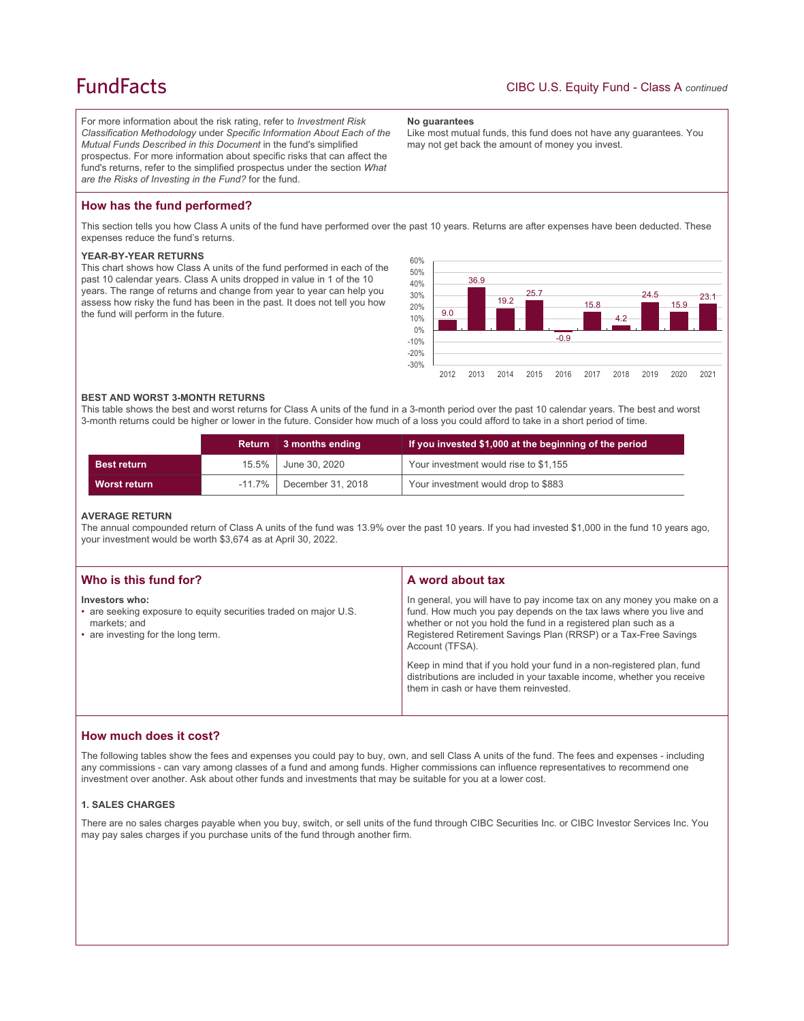## **FundFacts**

For more information about the risk rating, refer to *Investment Risk Classification Methodology* under *Specific Information About Each of the Mutual Funds Described in this Document* in the fund's simplified prospectus. For more information about specific risks that can affect the fund's returns, refer to the simplified prospectus under the section *What are the Risks of Investing in the Fund?* for the fund.

#### **No guarantees**

Like most mutual funds, this fund does not have any guarantees. You may not get back the amount of money you invest.

## **How has the fund performed?**

This section tells you how Class A units of the fund have performed over the past 10 years. Returns are after expenses have been deducted. These expenses reduce the fund's returns.

## **YEAR-BY-YEAR RETURNS**

This chart shows how Class A units of the fund performed in each of the past 10 calendar years. Class A units dropped in value in 1 of the 10 years. The range of returns and change from year to year can help you assess how risky the fund has been in the past. It does not tell you how the fund will perform in the future.



#### **BEST AND WORST 3-MONTH RETURNS**

This table shows the best and worst returns for Class A units of the fund in a 3-month period over the past 10 calendar years. The best and worst 3-month returns could be higher or lower in the future. Consider how much of a loss you could afford to take in a short period of time.

|                     | <b>Return</b> | 3 months ending             | If you invested \$1,000 at the beginning of the period |
|---------------------|---------------|-----------------------------|--------------------------------------------------------|
| <b>Best return</b>  | $15.5\%$      | June 30, 2020               | Your investment would rise to \$1,155                  |
| <b>Worst return</b> |               | $-11.7\%$ December 31, 2018 | Your investment would drop to \$883                    |

#### **AVERAGE RETURN**

The annual compounded return of Class A units of the fund was 13.9% over the past 10 years. If you had invested \$1,000 in the fund 10 years ago, your investment would be worth \$3,674 as at April 30, 2022.

| Who is this fund for?                                                                                                                    | A word about tax                                                                                                                                                                                                                                                                                     |  |
|------------------------------------------------------------------------------------------------------------------------------------------|------------------------------------------------------------------------------------------------------------------------------------------------------------------------------------------------------------------------------------------------------------------------------------------------------|--|
| Investors who:<br>• are seeking exposure to equity securities traded on major U.S.<br>markets; and<br>• are investing for the long term. | In general, you will have to pay income tax on any money you make on a<br>fund. How much you pay depends on the tax laws where you live and<br>whether or not you hold the fund in a registered plan such as a<br>Registered Retirement Savings Plan (RRSP) or a Tax-Free Savings<br>Account (TFSA). |  |
|                                                                                                                                          | Keep in mind that if you hold your fund in a non-registered plan, fund<br>distributions are included in your taxable income, whether you receive<br>them in cash or have them reinvested.                                                                                                            |  |

## **How much does it cost?**

The following tables show the fees and expenses you could pay to buy, own, and sell Class A units of the fund. The fees and expenses - including any commissions - can vary among classes of a fund and among funds. Higher commissions can influence representatives to recommend one investment over another. Ask about other funds and investments that may be suitable for you at a lower cost.

### **1. SALES CHARGES**

There are no sales charges payable when you buy, switch, or sell units of the fund through CIBC Securities Inc. or CIBC Investor Services Inc. You may pay sales charges if you purchase units of the fund through another firm.